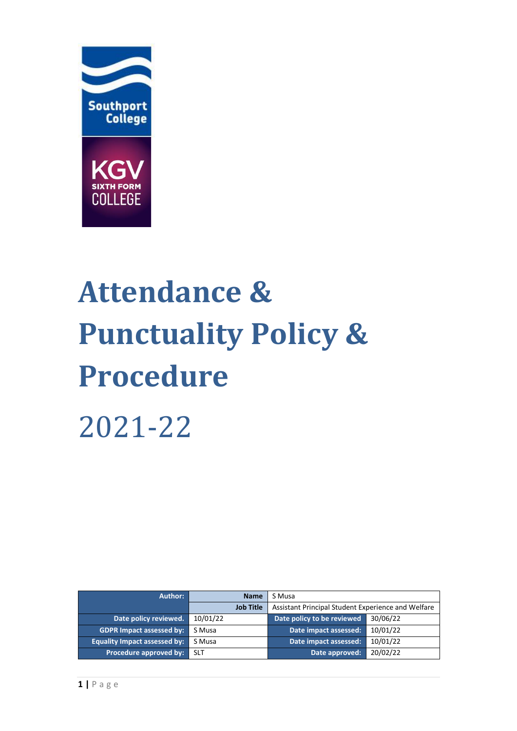

# **Attendance & Punctuality Policy & Procedure** 2021-22

| Author:                             | <b>Name</b>      | S Musa                                             |          |
|-------------------------------------|------------------|----------------------------------------------------|----------|
|                                     | <b>Job Title</b> | Assistant Principal Student Experience and Welfare |          |
| Date policy reviewed.               | 10/01/22         | Date policy to be reviewed                         | 30/06/22 |
| <b>GDPR Impact assessed by:</b>     | S Musa           | Date impact assessed:                              | 10/01/22 |
| <b>Equality Impact assessed by:</b> | S Musa           | Date impact assessed:                              | 10/01/22 |
| Procedure approved by:              | <b>SLT</b>       | Date approved:                                     | 20/02/22 |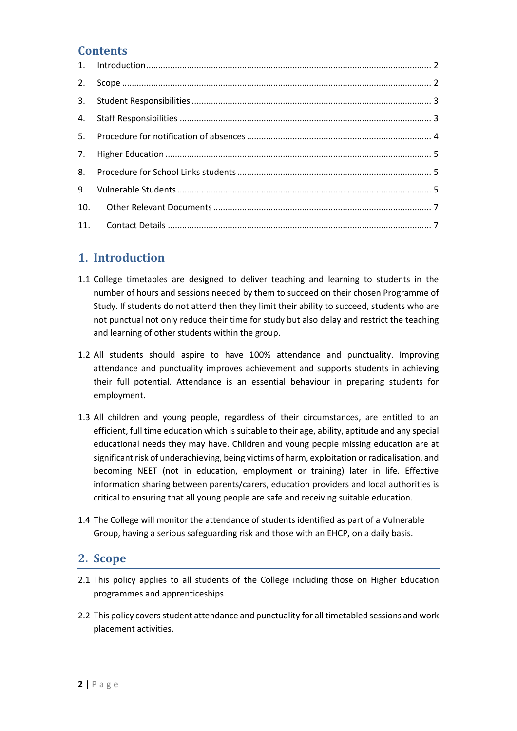### **Contents**

| 2.  |  |
|-----|--|
| 3.  |  |
|     |  |
|     |  |
|     |  |
|     |  |
| 9.  |  |
| 10. |  |
| 11. |  |

## <span id="page-1-0"></span>**1. Introduction**

- 1.1 College timetables are designed to deliver teaching and learning to students in the number of hours and sessions needed by them to succeed on their chosen Programme of Study. If students do not attend then they limit their ability to succeed, students who are not punctual not only reduce their time for study but also delay and restrict the teaching and learning of other students within the group.
- 1.2 All students should aspire to have 100% attendance and punctuality. Improving attendance and punctuality improves achievement and supports students in achieving their full potential. Attendance is an essential behaviour in preparing students for employment.
- 1.3 All children and young people, regardless of their circumstances, are entitled to an efficient, full time education which is suitable to their age, ability, aptitude and any special educational needs they may have. Children and young people missing education are at significant risk of underachieving, being victims of harm, exploitation or radicalisation, and becoming NEET (not in education, employment or training) later in life. Effective information sharing between parents/carers, education providers and local authorities is critical to ensuring that all young people are safe and receiving suitable education.
- 1.4 The College will monitor the attendance of students identified as part of a Vulnerable Group, having a serious safeguarding risk and those with an EHCP, on a daily basis.

#### <span id="page-1-1"></span>**2. Scope**

- 2.1 This policy applies to all students of the College including those on Higher Education programmes and apprenticeships.
- 2.2 This policy covers student attendance and punctuality for all timetabled sessions and work placement activities.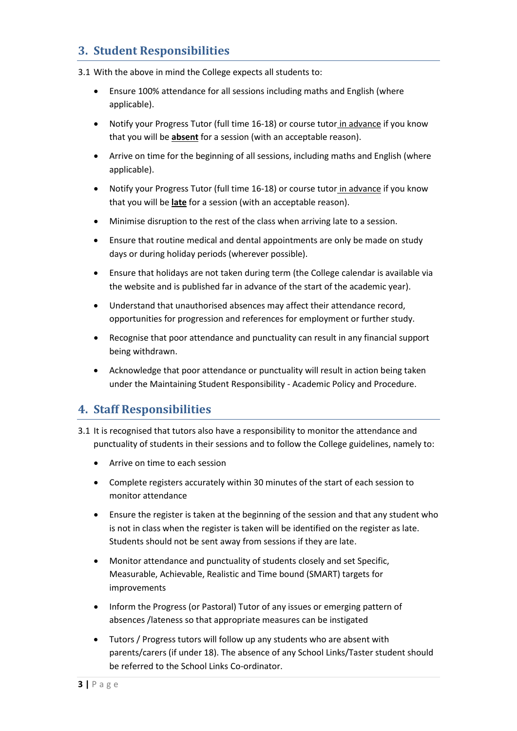## <span id="page-2-0"></span>**3. Student Responsibilities**

- 3.1 With the above in mind the College expects all students to:
	- Ensure 100% attendance for all sessions including maths and English (where applicable).
	- Notify your Progress Tutor (full time 16-18) or course tutor in advance if you know that you will be **absent** for a session (with an acceptable reason).
	- Arrive on time for the beginning of all sessions, including maths and English (where applicable).
	- Notify your Progress Tutor (full time 16-18) or course tutor in advance if you know that you will be **late** for a session (with an acceptable reason).
	- Minimise disruption to the rest of the class when arriving late to a session.
	- Ensure that routine medical and dental appointments are only be made on study days or during holiday periods (wherever possible).
	- Ensure that holidays are not taken during term (the College calendar is available via the website and is published far in advance of the start of the academic year).
	- Understand that unauthorised absences may affect their attendance record, opportunities for progression and references for employment or further study.
	- Recognise that poor attendance and punctuality can result in any financial support being withdrawn.
	- Acknowledge that poor attendance or punctuality will result in action being taken under the Maintaining Student Responsibility - Academic Policy and Procedure.

## <span id="page-2-1"></span>**4. Staff Responsibilities**

- 3.1 It is recognised that tutors also have a responsibility to monitor the attendance and punctuality of students in their sessions and to follow the College guidelines, namely to:
	- Arrive on time to each session
	- Complete registers accurately within 30 minutes of the start of each session to monitor attendance
	- Ensure the register is taken at the beginning of the session and that any student who is not in class when the register is taken will be identified on the register as late. Students should not be sent away from sessions if they are late.
	- Monitor attendance and punctuality of students closely and set Specific, Measurable, Achievable, Realistic and Time bound (SMART) targets for improvements
	- Inform the Progress (or Pastoral) Tutor of any issues or emerging pattern of absences /lateness so that appropriate measures can be instigated
	- Tutors / Progress tutors will follow up any students who are absent with parents/carers (if under 18). The absence of any School Links/Taster student should be referred to the School Links Co-ordinator.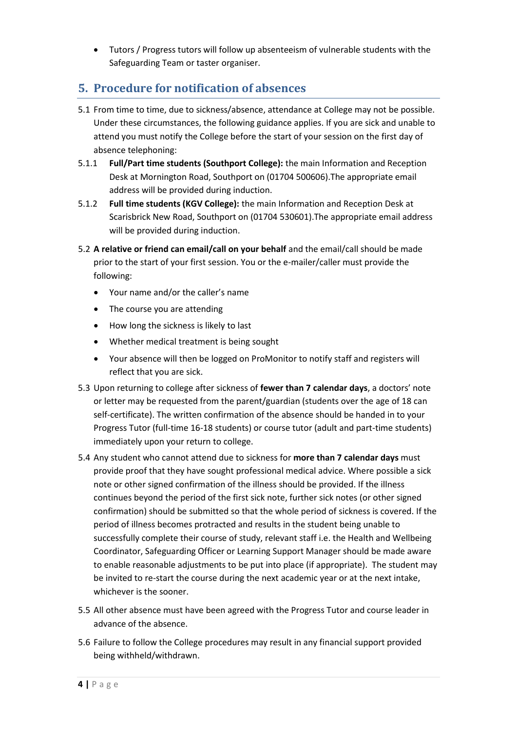Tutors / Progress tutors will follow up absenteeism of vulnerable students with the Safeguarding Team or taster organiser.

## <span id="page-3-0"></span>**5. Procedure for notification of absences**

- 5.1 From time to time, due to sickness/absence, attendance at College may not be possible. Under these circumstances, the following guidance applies. If you are sick and unable to attend you must notify the College before the start of your session on the first day of absence telephoning:
- 5.1.1 **Full/Part time students (Southport College):** the main Information and Reception Desk at Mornington Road, Southport on (01704 500606).The appropriate email address will be provided during induction.
- 5.1.2 **Full time students (KGV College):** the main Information and Reception Desk at Scarisbrick New Road, Southport on (01704 530601).The appropriate email address will be provided during induction.
- 5.2 **A relative or friend can email/call on your behalf** and the email/call should be made prior to the start of your first session. You or the e-mailer/caller must provide the following:
	- Your name and/or the caller's name
	- The course you are attending
	- How long the sickness is likely to last
	- Whether medical treatment is being sought
	- Your absence will then be logged on ProMonitor to notify staff and registers will reflect that you are sick.
- 5.3 Upon returning to college after sickness of **fewer than 7 calendar days**, a doctors' note or letter may be requested from the parent/guardian (students over the age of 18 can self-certificate). The written confirmation of the absence should be handed in to your Progress Tutor (full-time 16-18 students) or course tutor (adult and part-time students) immediately upon your return to college.
- 5.4 Any student who cannot attend due to sickness for **more than 7 calendar days** must provide proof that they have sought professional medical advice. Where possible a sick note or other signed confirmation of the illness should be provided. If the illness continues beyond the period of the first sick note, further sick notes (or other signed confirmation) should be submitted so that the whole period of sickness is covered. If the period of illness becomes protracted and results in the student being unable to successfully complete their course of study, relevant staff i.e. the Health and Wellbeing Coordinator, Safeguarding Officer or Learning Support Manager should be made aware to enable reasonable adjustments to be put into place (if appropriate). The student may be invited to re-start the course during the next academic year or at the next intake, whichever is the sooner.
- 5.5 All other absence must have been agreed with the Progress Tutor and course leader in advance of the absence.
- 5.6 Failure to follow the College procedures may result in any financial support provided being withheld/withdrawn.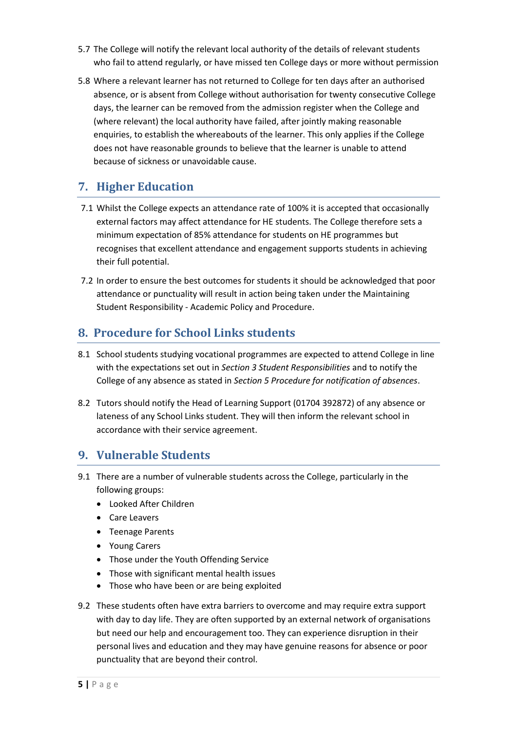- 5.7 The College will notify the relevant local authority of the details of relevant students who fail to attend regularly, or have missed ten College days or more without permission
- 5.8 Where a relevant learner has not returned to College for ten days after an authorised absence, or is absent from College without authorisation for twenty consecutive College days, the learner can be removed from the admission register when the College and (where relevant) the local authority have failed, after jointly making reasonable enquiries, to establish the whereabouts of the learner. This only applies if the College does not have reasonable grounds to believe that the learner is unable to attend because of sickness or unavoidable cause.

# <span id="page-4-0"></span>**7. Higher Education**

- 7.1 Whilst the College expects an attendance rate of 100% it is accepted that occasionally external factors may affect attendance for HE students. The College therefore sets a minimum expectation of 85% attendance for students on HE programmes but recognises that excellent attendance and engagement supports students in achieving their full potential.
- 7.2 In order to ensure the best outcomes for students it should be acknowledged that poor attendance or punctuality will result in action being taken under the Maintaining Student Responsibility - Academic Policy and Procedure.

## <span id="page-4-1"></span>**8. Procedure for School Links students**

- 8.1 School students studying vocational programmes are expected to attend College in line with the expectations set out in *Section 3 Student Responsibilities* and to notify the College of any absence as stated in *Section 5 Procedure for notification of absences*.
- 8.2 Tutors should notify the Head of Learning Support (01704 392872) of any absence or lateness of any School Links student. They will then inform the relevant school in accordance with their service agreement.

#### <span id="page-4-2"></span>**9. Vulnerable Students**

- 9.1 There are a number of vulnerable students across the College, particularly in the following groups:
	- Looked After Children
	- Care Leavers
	- Teenage Parents
	- Young Carers
	- Those under the Youth Offending Service
	- Those with significant mental health issues
	- Those who have been or are being exploited
- 9.2 These students often have extra barriers to overcome and may require extra support with day to day life. They are often supported by an external network of organisations but need our help and encouragement too. They can experience disruption in their personal lives and education and they may have genuine reasons for absence or poor punctuality that are beyond their control.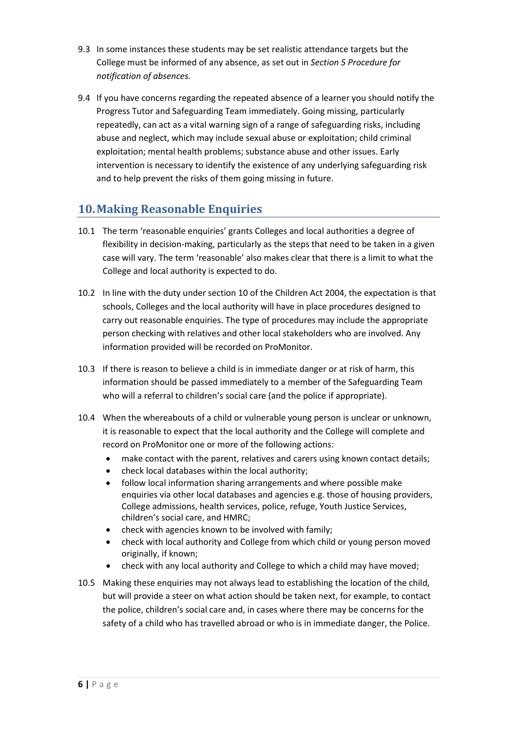- 9.3 In some instances these students may be set realistic attendance targets but the College must be informed of any absence, as set out in *Section 5 Procedure for notification of absences.*
- 9.4 If you have concerns regarding the repeated absence of a learner you should notify the Progress Tutor and Safeguarding Team immediately. Going missing, particularly repeatedly, can act as a vital warning sign of a range of safeguarding risks, including abuse and neglect, which may include sexual abuse or exploitation; child criminal exploitation; mental health problems; substance abuse and other issues. Early intervention is necessary to identify the existence of any underlying safeguarding risk and to help prevent the risks of them going missing in future.

# **10.Making Reasonable Enquiries**

- 10.1 The term 'reasonable enquiries' grants Colleges and local authorities a degree of flexibility in decision-making, particularly as the steps that need to be taken in a given case will vary. The term 'reasonable' also makes clear that there is a limit to what the College and local authority is expected to do.
- 10.2 In line with the duty under section 10 of the Children Act 2004, the expectation is that schools, Colleges and the local authority will have in place procedures designed to carry out reasonable enquiries. The type of procedures may include the appropriate person checking with relatives and other local stakeholders who are involved. Any information provided will be recorded on ProMonitor.
- 10.3 If there is reason to believe a child is in immediate danger or at risk of harm, this information should be passed immediately to a member of the Safeguarding Team who will a referral to children's social care (and the police if appropriate).
- 10.4 When the whereabouts of a child or vulnerable young person is unclear or unknown, it is reasonable to expect that the local authority and the College will complete and record on ProMonitor one or more of the following actions:
	- make contact with the parent, relatives and carers using known contact details;
	- check local databases within the local authority;
	- follow local information sharing arrangements and where possible make enquiries via other local databases and agencies e.g. those of housing providers, College admissions, health services, police, refuge, Youth Justice Services, children's social care, and HMRC;
	- check with agencies known to be involved with family;
	- check with local authority and College from which child or young person moved originally, if known;
	- check with any local authority and College to which a child may have moved;
- 10.5 Making these enquiries may not always lead to establishing the location of the child, but will provide a steer on what action should be taken next, for example, to contact the police, children's social care and, in cases where there may be concerns for the safety of a child who has travelled abroad or who is in immediate danger, the Police.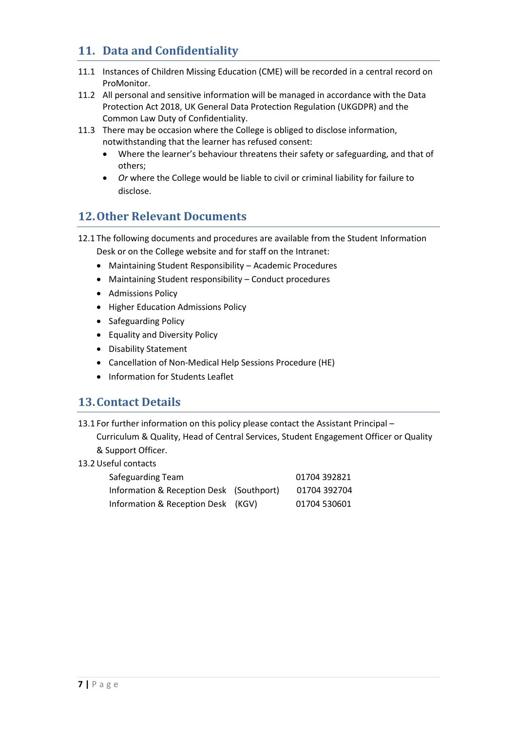# **11. Data and Confidentiality**

- 11.1 Instances of Children Missing Education (CME) will be recorded in a central record on ProMonitor.
- 11.2 All personal and sensitive information will be managed in accordance with the Data Protection Act 2018, UK General Data Protection Regulation (UKGDPR) and the Common Law Duty of Confidentiality.
- 11.3 There may be occasion where the College is obliged to disclose information, notwithstanding that the learner has refused consent:
	- Where the learner's behaviour threatens their safety or safeguarding, and that of others;
	- *Or* where the College would be liable to civil or criminal liability for failure to disclose.

# <span id="page-6-0"></span>**12.Other Relevant Documents**

12.1 The following documents and procedures are available from the Student Information Desk or on the College website and for staff on the Intranet:

- Maintaining Student Responsibility Academic Procedures
- Maintaining Student responsibility Conduct procedures
- Admissions Policy
- Higher Education Admissions Policy
- Safeguarding Policy
- Equality and Diversity Policy
- Disability Statement
- Cancellation of Non-Medical Help Sessions Procedure (HE)
- Information for Students Leaflet

#### <span id="page-6-1"></span>**13.Contact Details**

13.1 For further information on this policy please contact the Assistant Principal – Curriculum & Quality, Head of Central Services, Student Engagement Officer or Quality

- & Support Officer.
- 13.2 Useful contacts

| Safeguarding Team                        | 01704 392821 |
|------------------------------------------|--------------|
| Information & Reception Desk (Southport) | 01704 392704 |
| Information & Reception Desk (KGV)       | 01704 530601 |